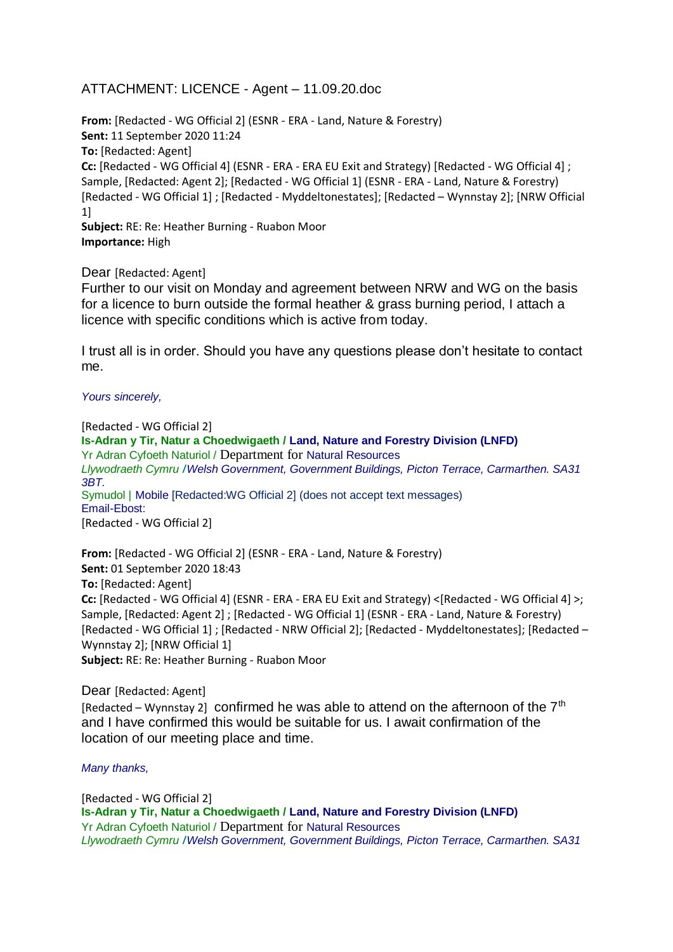## ATTACHMENT: LICENCE - Agent – 11.09.20.doc

**From:** [Redacted - WG Official 2] (ESNR - ERA - Land, Nature & Forestry) **Sent:** 11 September 2020 11:24 **To:** [Redacted: Agent] **Cc:** [Redacted - WG Official 4] (ESNR - ERA - ERA EU Exit and Strategy) [Redacted - WG Official 4] ; Sample, [Redacted: Agent 2]; [Redacted - WG Official 1] (ESNR - ERA - Land, Nature & Forestry) [Redacted - WG Official 1] ; [Redacted - Myddeltonestates]; [Redacted – Wynnstay 2]; [NRW Official 1] **Subject:** RE: Re: Heather Burning - Ruabon Moor

**Importance:** High

Dear [Redacted: Agent]

Further to our visit on Monday and agreement between NRW and WG on the basis for a licence to burn outside the formal heather & grass burning period, I attach a licence with specific conditions which is active from today.

I trust all is in order. Should you have any questions please don't hesitate to contact me.

*Yours sincerely,*

[Redacted - WG Official 2] **Is-Adran y Tir, Natur a Choedwigaeth / Land, Nature and Forestry Division (LNFD)** Yr Adran Cyfoeth Naturiol / Department for Natural Resources *Llywodraeth Cymru* **/***Welsh Government, Government Buildings, Picton Terrace, Carmarthen. SA31 3BT.* Symudol | Mobile [Redacted:WG Official 2] (does not accept text messages) Email-Ebost: [Redacted - WG Official 2]

**From:** [Redacted - WG Official 2] (ESNR - ERA - Land, Nature & Forestry) **Sent:** 01 September 2020 18:43 **To:** [Redacted: Agent] **Cc:** [Redacted - WG Official 4] (ESNR - ERA - ERA EU Exit and Strategy) <[Redacted - WG Official 4] >; Sample, [Redacted: Agent 2] ; [Redacted - WG Official 1] (ESNR - ERA - Land, Nature & Forestry) [Redacted - WG Official 1] ; [Redacted - NRW Official 2]; [Redacted - Myddeltonestates]; [Redacted – Wynnstay 2]; [NRW Official 1] **Subject:** RE: Re: Heather Burning - Ruabon Moor

Dear [Redacted: Agent] [Redacted – Wynnstay 2] confirmed he was able to attend on the afternoon of the  $7<sup>th</sup>$ and I have confirmed this would be suitable for us. I await confirmation of the location of our meeting place and time.

*Many thanks,*

[Redacted - WG Official 2] **Is-Adran y Tir, Natur a Choedwigaeth / Land, Nature and Forestry Division (LNFD)** Yr Adran Cyfoeth Naturiol / Department for Natural Resources *Llywodraeth Cymru* **/***Welsh Government, Government Buildings, Picton Terrace, Carmarthen. SA31*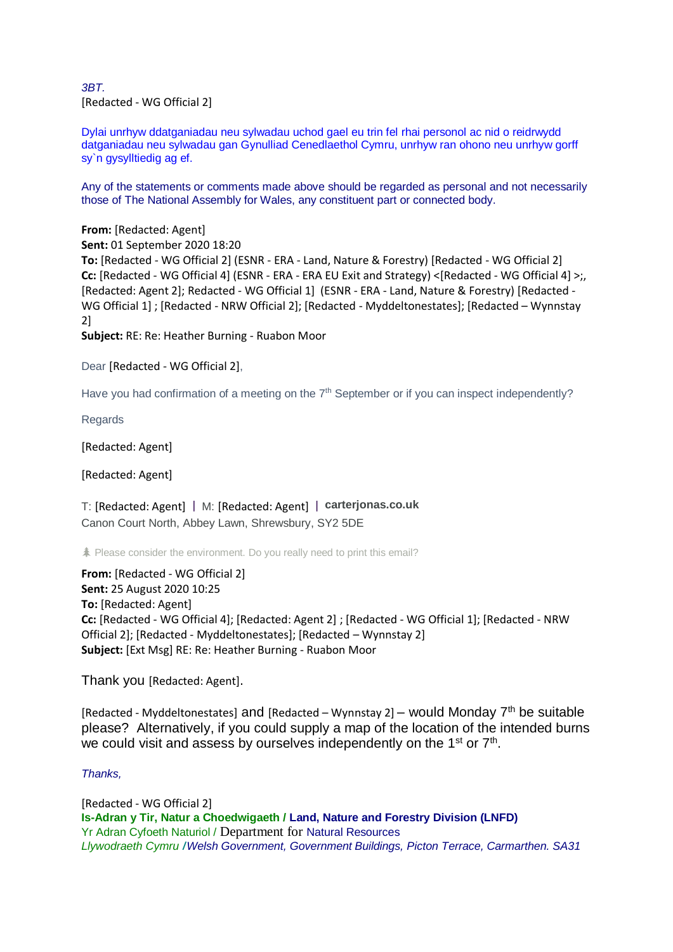*3BT.* [Redacted - WG Official 2]

Dylai unrhyw ddatganiadau neu sylwadau uchod gael eu trin fel rhai personol ac nid o reidrwydd datganiadau neu sylwadau gan Gynulliad Cenedlaethol Cymru, unrhyw ran ohono neu unrhyw gorff sy`n gysylltiedig ag ef.

Any of the statements or comments made above should be regarded as personal and not necessarily those of The National Assembly for Wales, any constituent part or connected body.

**From:** [Redacted: Agent] **Sent:** 01 September 2020 18:20 **To:** [Redacted - WG Official 2] (ESNR - ERA - Land, Nature & Forestry) [Redacted - WG Official 2] **Cc:** [Redacted - WG Official 4] (ESNR - ERA - ERA EU Exit and Strategy) <[Redacted - WG Official 4] >;, [Redacted: Agent 2]; Redacted - WG Official 1] (ESNR - ERA - Land, Nature & Forestry) [Redacted - WG Official 1] ; [Redacted - NRW Official 2]; [Redacted - Myddeltonestates]; [Redacted – Wynnstay 2] **Subject:** RE: Re: Heather Burning - Ruabon Moor

Dear [Redacted - WG Official 2],

Have you had confirmation of a meeting on the  $7<sup>th</sup>$  September or if you can inspect independently?

Regards

[Redacted: Agent]

[Redacted: Agent]

T: [Redacted: Agent] | M: [Redacted: Agent] | **[carterjonas.co.uk](https://eur01.safelinks.protection.outlook.com/?url=http%3A%2F%2Fcarterjonas.co.uk%2F&data=02%7C01%7Cgareth.davies3%40gov.wales%7C76adeddfa4e243c8989108d84e9b3ef4%7Ca2cc36c592804ae78887d06dab89216b%7C0%7C0%7C637345775992258082&sdata=kHypmL5SCPo5PwbTrPlPGd0yJjTFxQGoz8MNW85Uz2U%3D&reserved=0)** Canon Court North, Abbey Lawn, Shrewsbury, SY2 5DE

Please consider the environment. Do you really need to print this email?

**From:** [Redacted - WG Official 2] **Sent:** 25 August 2020 10:25 **To:** [Redacted: Agent] **Cc:** [Redacted - WG Official 4]; [Redacted: Agent 2] ; [Redacted - WG Official 1]; [Redacted - NRW Official 2]; [Redacted - Myddeltonestates]; [Redacted – Wynnstay 2] **Subject:** [Ext Msg] RE: Re: Heather Burning - Ruabon Moor

Thank you [Redacted: Agent].

[Redacted - Myddeltonestates] and [Redacted – Wynnstay 2] – would Monday  $7<sup>th</sup>$  be suitable please? Alternatively, if you could supply a map of the location of the intended burns we could visit and assess by ourselves independently on the 1<sup>st</sup> or 7<sup>th</sup>.

## *Thanks,*

[Redacted - WG Official 2] **Is-Adran y Tir, Natur a Choedwigaeth / Land, Nature and Forestry Division (LNFD)** Yr Adran Cyfoeth Naturiol / Department for Natural Resources *Llywodraeth Cymru* **/***Welsh Government, Government Buildings, Picton Terrace, Carmarthen. SA31*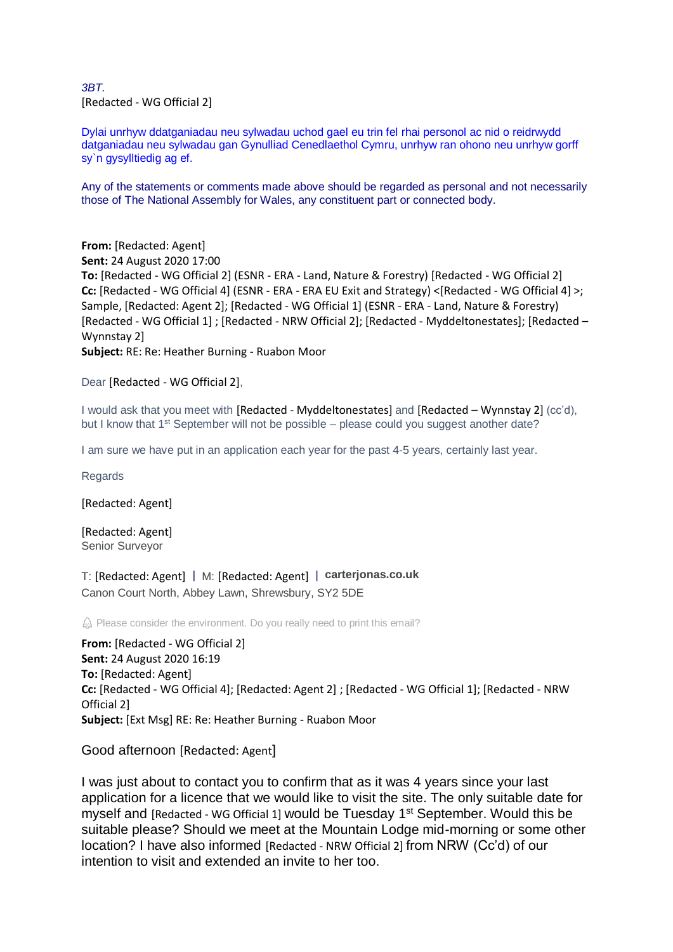*3BT.* [Redacted - WG Official 2]

Dylai unrhyw ddatganiadau neu sylwadau uchod gael eu trin fel rhai personol ac nid o reidrwydd datganiadau neu sylwadau gan Gynulliad Cenedlaethol Cymru, unrhyw ran ohono neu unrhyw gorff sy`n gysylltiedig ag ef.

Any of the statements or comments made above should be regarded as personal and not necessarily those of The National Assembly for Wales, any constituent part or connected body.

**From:** [Redacted: Agent] **Sent:** 24 August 2020 17:00 **To:** [Redacted - WG Official 2] (ESNR - ERA - Land, Nature & Forestry) [Redacted - WG Official 2] **Cc:** [Redacted - WG Official 4] (ESNR - ERA - ERA EU Exit and Strategy) <[Redacted - WG Official 4] >; Sample, [Redacted: Agent 2]; [Redacted - WG Official 1] (ESNR - ERA - Land, Nature & Forestry) [Redacted - WG Official 1] ; [Redacted - NRW Official 2]; [Redacted - Myddeltonestates]; [Redacted – Wynnstay 2] **Subject:** RE: Re: Heather Burning - Ruabon Moor

Dear [Redacted - WG Official 2],

I would ask that you meet with [Redacted - Myddeltonestates] and [Redacted – Wynnstay 2] (cc'd), but I know that  $1<sup>st</sup>$  September will not be possible – please could you suggest another date?

I am sure we have put in an application each year for the past 4-5 years, certainly last year.

**Regards** 

[Redacted: Agent]

[Redacted: Agent] Senior Surveyor

T: [Redacted: Agent] | M: [Redacted: Agent] | **[carterjonas.co.uk](https://eur01.safelinks.protection.outlook.com/?url=http%3A%2F%2Fcarterjonas.co.uk%2F&data=02%7C01%7Cgareth.davies3%40gov.wales%7C76adeddfa4e243c8989108d84e9b3ef4%7Ca2cc36c592804ae78887d06dab89216b%7C0%7C0%7C637345775992268036&sdata=AFDtEUUzBn6EtcX3CVH%2FKXnkxpgRgARuecsz6svYjGs%3D&reserved=0)** Canon Court North, Abbey Lawn, Shrewsbury, SY2 5DE

 $\hat{\omega}$  Please consider the environment. Do you really need to print this email?

**From:** [Redacted - WG Official 2] **Sent:** 24 August 2020 16:19 **To:** [Redacted: Agent] **Cc:** [Redacted - WG Official 4]; [Redacted: Agent 2] ; [Redacted - WG Official 1]; [Redacted - NRW Official 2] **Subject:** [Ext Msg] RE: Re: Heather Burning - Ruabon Moor

Good afternoon [Redacted: Agent]

I was just about to contact you to confirm that as it was 4 years since your last application for a licence that we would like to visit the site. The only suitable date for myself and [Redacted - WG Official 1] would be Tuesday 1<sup>st</sup> September. Would this be suitable please? Should we meet at the Mountain Lodge mid-morning or some other location? I have also informed [Redacted - NRW Official 2] from NRW (Cc'd) of our intention to visit and extended an invite to her too.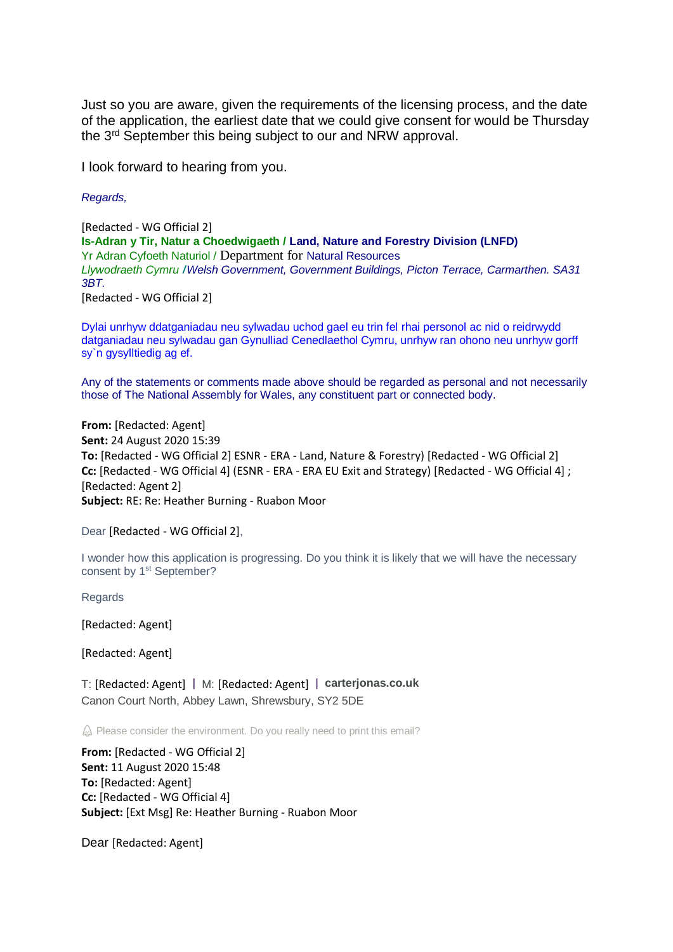Just so you are aware, given the requirements of the licensing process, and the date of the application, the earliest date that we could give consent for would be Thursday the 3rd September this being subject to our and NRW approval.

I look forward to hearing from you.

*Regards,*

[Redacted - WG Official 2] **Is-Adran y Tir, Natur a Choedwigaeth / Land, Nature and Forestry Division (LNFD)** Yr Adran Cyfoeth Naturiol / Department for Natural Resources *Llywodraeth Cymru* **/***Welsh Government, Government Buildings, Picton Terrace, Carmarthen. SA31 3BT.*

[Redacted - WG Official 2]

Dylai unrhyw ddatganiadau neu sylwadau uchod gael eu trin fel rhai personol ac nid o reidrwydd datganiadau neu sylwadau gan Gynulliad Cenedlaethol Cymru, unrhyw ran ohono neu unrhyw gorff sy`n gysylltiedig ag ef.

Any of the statements or comments made above should be regarded as personal and not necessarily those of The National Assembly for Wales, any constituent part or connected body.

**From:** [Redacted: Agent] **Sent:** 24 August 2020 15:39 **To:** [Redacted - WG Official 2] ESNR - ERA - Land, Nature & Forestry) [Redacted - WG Official 2] **Cc:** [Redacted - WG Official 4] (ESNR - ERA - ERA EU Exit and Strategy) [Redacted - WG Official 4] ; [Redacted: Agent 2] **Subject:** RE: Re: Heather Burning - Ruabon Moor

Dear [Redacted - WG Official 2],

I wonder how this application is progressing. Do you think it is likely that we will have the necessary consent by 1<sup>st</sup> September?

**Regards** 

[Redacted: Agent]

[Redacted: Agent]

T: [Redacted: Agent] | M: [Redacted: Agent] | **[carterjonas.co.uk](https://eur01.safelinks.protection.outlook.com/?url=http%3A%2F%2Fcarterjonas.co.uk%2F&data=02%7C01%7Cgareth.davies3%40gov.wales%7C76adeddfa4e243c8989108d84e9b3ef4%7Ca2cc36c592804ae78887d06dab89216b%7C0%7C0%7C637345775992268036&sdata=AFDtEUUzBn6EtcX3CVH%2FKXnkxpgRgARuecsz6svYjGs%3D&reserved=0)** Canon Court North, Abbey Lawn, Shrewsbury, SY2 5DE

 $\hat{\omega}$  Please consider the environment. Do you really need to print this email?

**From:** [Redacted - WG Official 2] **Sent:** 11 August 2020 15:48 **To:** [Redacted: Agent] **Cc:** [Redacted - WG Official 4] **Subject:** [Ext Msg] Re: Heather Burning - Ruabon Moor

Dear [Redacted: Agent]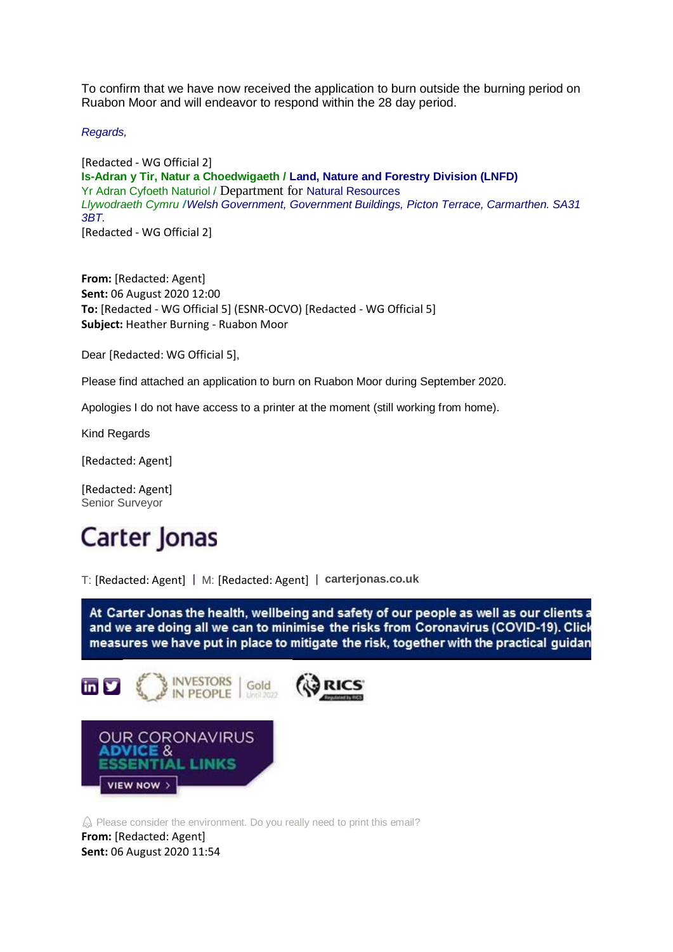To confirm that we have now received the application to burn outside the burning period on Ruabon Moor and will endeavor to respond within the 28 day period.

*Regards,*

[Redacted - WG Official 2] **Is-Adran y Tir, Natur a Choedwigaeth / Land, Nature and Forestry Division (LNFD)** Yr Adran Cyfoeth Naturiol / Department for Natural Resources *Llywodraeth Cymru* **/***Welsh Government, Government Buildings, Picton Terrace, Carmarthen. SA31 3BT.* [Redacted - WG Official 2]

**From:** [Redacted: Agent] **Sent:** 06 August 2020 12:00 **To:** [Redacted - WG Official 5] (ESNR-OCVO) [Redacted - WG Official 5] **Subject:** Heather Burning - Ruabon Moor

Dear [Redacted: WG Official 5],

Please find attached an application to burn on Ruabon Moor during September 2020.

Apologies I do not have access to a printer at the moment (still working from home).

Kind Regards

[Redacted: Agent]

[Redacted: Agent] Senior Surveyor

## Carter Jonas

T: [Redacted: Agent] | M: [Redacted: Agent] | **[carterjonas.co.uk](https://eur01.safelinks.protection.outlook.com/?url=http%3A%2F%2Fcarterjonas.co.uk%2F&data=02%7C01%7Cgareth.davies3%40gov.wales%7C76adeddfa4e243c8989108d84e9b3ef4%7Ca2cc36c592804ae78887d06dab89216b%7C0%7C0%7C637345775992277994&sdata=lACWx7F4d7jMmkfMQJnHhR6C%2BZC1%2B23Ylnjnj2VXBvk%3D&reserved=0)**

At Carter Jonas the health, wellbeing and safety of our people as well as our clients a and we are doing all we can to minimise the risks from Coronavirus (COVID-19). Click measures we have put in place to mitigate the risk, together with the practical guidan



 $\hat{\omega}$  Please consider the environment. Do you really need to print this email? **From:** [Redacted: Agent] **Sent:** 06 August 2020 11:54